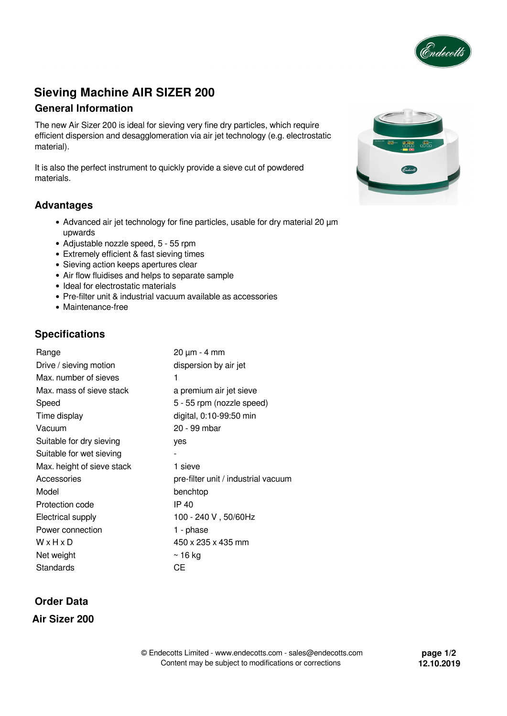

# **Sieving Machine AIR SIZER 200**

### **General Information**

The new Air Sizer 200 is ideal for sieving very fine dry particles, which require efficient dispersion and desagglomeration via air jet technology (e.g. electrostatic material).

It is also the perfect instrument to quickly provide a sieve cut of powdered materials.

### **Advantages**

- Advanced air jet technology for fine particles, usable for dry material 20  $\mu$ m upwards
- Adjustable nozzle speed, 5 55 rpm
- Extremely efficient & fast sieving times
- Sieving action keeps apertures clear
- Air flow fluidises and helps to separate sample
- Ideal for electrostatic materials
- Pre-filter unit & industrial vacuum available as accessories
- Maintenance-free

### **Specifications**

| Range                      | 20 µm - 4 mm                        |
|----------------------------|-------------------------------------|
| Drive / sieving motion     | dispersion by air jet               |
| Max. number of sieves      | 1                                   |
| Max. mass of sieve stack   | a premium air jet sieve             |
| Speed                      | 5 - 55 rpm (nozzle speed)           |
| Time display               | digital, 0:10-99:50 min             |
| Vacuum                     | 20 - 99 mbar                        |
| Suitable for dry sieving   | yes                                 |
| Suitable for wet sieving   |                                     |
| Max. height of sieve stack | 1 sieve                             |
| Accessories                | pre-filter unit / industrial vacuum |
| Model                      | benchtop                            |
| Protection code            | IP 40                               |
| Electrical supply          | 100 - 240 V, 50/60Hz                |
| Power connection           | 1 - phase                           |
| WxHxD                      | 450 x 235 x 435 mm                  |
| Net weight                 | $\sim$ 16 kg                        |
| Standards                  | CЕ                                  |

## **Order Data**

**Air Sizer 200**

**page 1/2 12.10.2019**